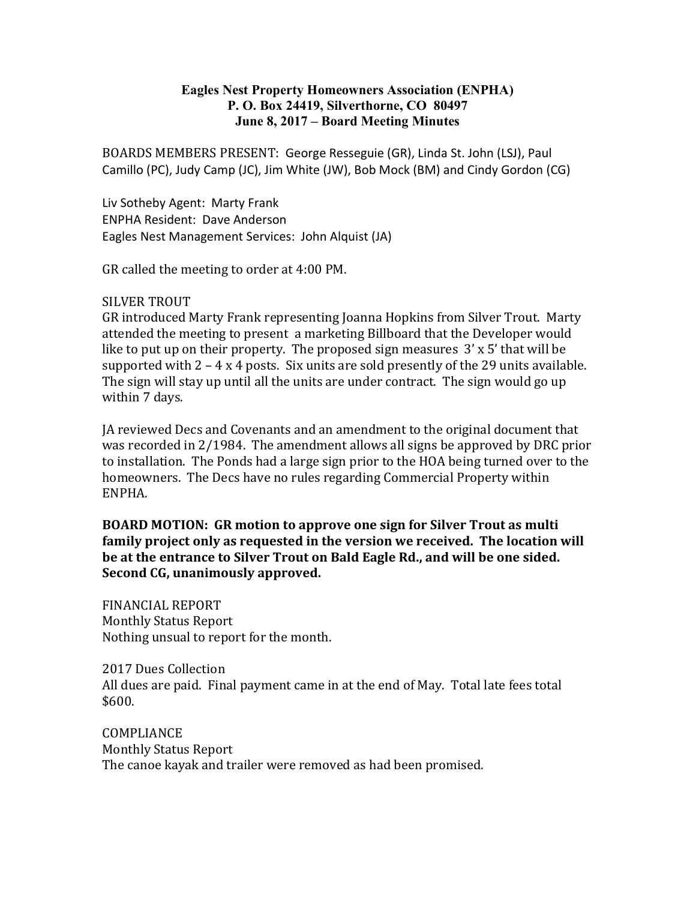### Eagles Nest Property Homeowners Association (ENPHA) P. O. Box 24419, Silverthorne, CO 80497 June 8, 2017 – Board Meeting Minutes

BOARDS MEMBERS PRESENT: George Resseguie (GR), Linda St. John (LSJ), Paul Camillo (PC), Judy Camp (JC), Jim White (JW), Bob Mock (BM) and Cindy Gordon (CG)

Liv Sotheby Agent: Marty Frank ENPHA Resident: Dave Anderson Eagles Nest Management Services: John Alquist (JA)

GR called the meeting to order at 4:00 PM.

#### SILVER TROUT

GR introduced Marty Frank representing Joanna Hopkins from Silver Trout. Marty attended the meeting to present a marketing Billboard that the Developer would like to put up on their property. The proposed sign measures 3' x 5' that will be supported with  $2 - 4x4$  posts. Six units are sold presently of the 29 units available. The sign will stay up until all the units are under contract. The sign would go up within 7 days.

JA reviewed Decs and Covenants and an amendment to the original document that was recorded in 2/1984. The amendment allows all signs be approved by DRC prior to installation. The Ponds had a large sign prior to the HOA being turned over to the homeowners. The Decs have no rules regarding Commercial Property within ENPHA.

BOARD MOTION: GR motion to approve one sign for Silver Trout as multi family project only as requested in the version we received. The location will be at the entrance to Silver Trout on Bald Eagle Rd., and will be one sided. Second CG, unanimously approved.

FINANCIAL REPORT Monthly Status Report Nothing unsual to report for the month.

2017 Dues Collection All dues are paid. Final payment came in at the end of May. Total late fees total \$600.

COMPLIANCE Monthly Status Report The canoe kayak and trailer were removed as had been promised.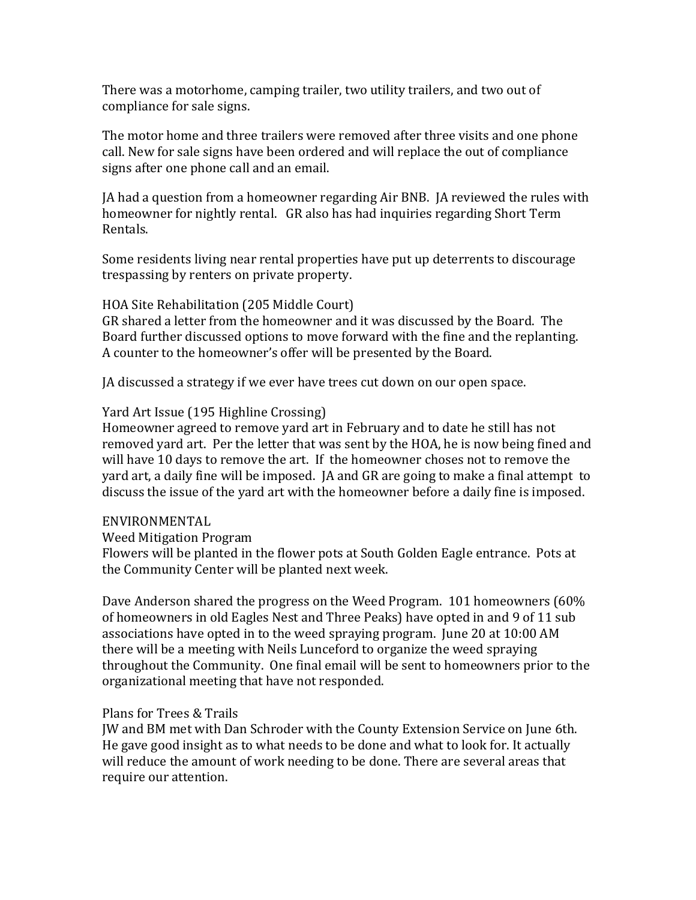There was a motorhome, camping trailer, two utility trailers, and two out of compliance for sale signs.

The motor home and three trailers were removed after three visits and one phone call. New for sale signs have been ordered and will replace the out of compliance signs after one phone call and an email.

JA had a question from a homeowner regarding Air BNB. JA reviewed the rules with homeowner for nightly rental. GR also has had inquiries regarding Short Term Rentals.

Some residents living near rental properties have put up deterrents to discourage trespassing by renters on private property.

HOA Site Rehabilitation (205 Middle Court)

GR shared a letter from the homeowner and it was discussed by the Board. The Board further discussed options to move forward with the fine and the replanting. A counter to the homeowner's offer will be presented by the Board.

JA discussed a strategy if we ever have trees cut down on our open space.

### Yard Art Issue (195 Highline Crossing)

Homeowner agreed to remove yard art in February and to date he still has not removed yard art. Per the letter that was sent by the HOA, he is now being fined and will have 10 days to remove the art. If the homeowner choses not to remove the yard art, a daily fine will be imposed. JA and GR are going to make a final attempt to discuss the issue of the yard art with the homeowner before a daily fine is imposed.

# ENVIRONMENTAL

Weed Mitigation Program

Flowers will be planted in the flower pots at South Golden Eagle entrance. Pots at the Community Center will be planted next week.

Dave Anderson shared the progress on the Weed Program. 101 homeowners (60% of homeowners in old Eagles Nest and Three Peaks) have opted in and 9 of 11 sub associations have opted in to the weed spraying program. June 20 at 10:00 AM there will be a meeting with Neils Lunceford to organize the weed spraying throughout the Community. One final email will be sent to homeowners prior to the organizational meeting that have not responded.

# Plans for Trees & Trails

JW and BM met with Dan Schroder with the County Extension Service on June 6th. He gave good insight as to what needs to be done and what to look for. It actually will reduce the amount of work needing to be done. There are several areas that require our attention.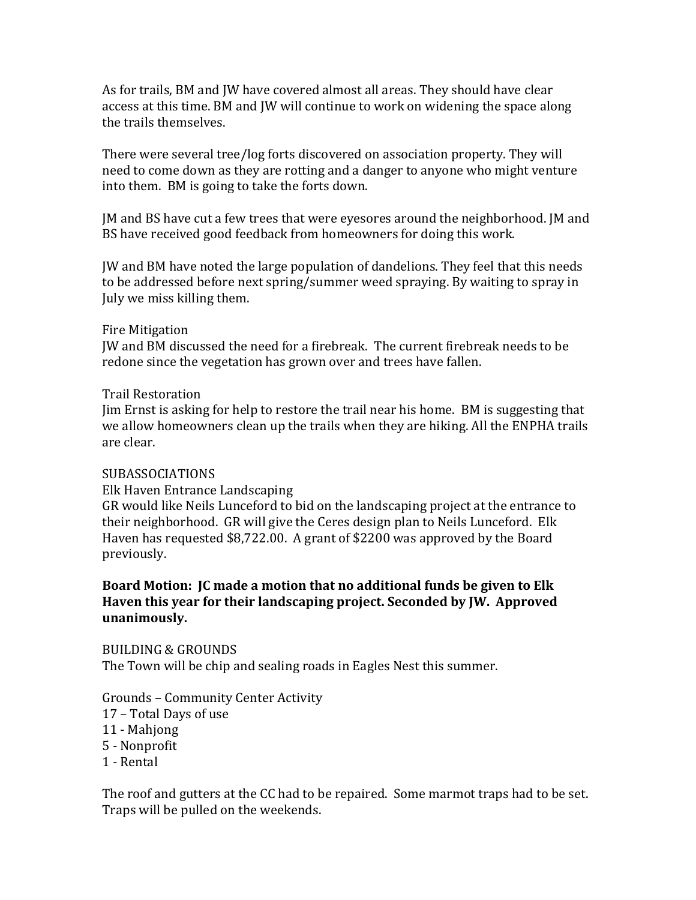As for trails, BM and JW have covered almost all areas. They should have clear access at this time. BM and JW will continue to work on widening the space along the trails themselves.

There were several tree/log forts discovered on association property. They will need to come down as they are rotting and a danger to anyone who might venture into them. BM is going to take the forts down.

JM and BS have cut a few trees that were eyesores around the neighborhood. JM and BS have received good feedback from homeowners for doing this work.

JW and BM have noted the large population of dandelions. They feel that this needs to be addressed before next spring/summer weed spraying. By waiting to spray in July we miss killing them.

### Fire Mitigation

JW and BM discussed the need for a firebreak. The current firebreak needs to be redone since the vegetation has grown over and trees have fallen.

#### Trail Restoration

Jim Ernst is asking for help to restore the trail near his home. BM is suggesting that we allow homeowners clean up the trails when they are hiking. All the ENPHA trails are clear.

#### SUBASSOCIATIONS

Elk Haven Entrance Landscaping

GR would like Neils Lunceford to bid on the landscaping project at the entrance to their neighborhood. GR will give the Ceres design plan to Neils Lunceford. Elk Haven has requested \$8,722.00. A grant of \$2200 was approved by the Board previously.

# Board Motion: JC made a motion that no additional funds be given to Elk Haven this year for their landscaping project. Seconded by JW. Approved unanimously.

BUILDING & GROUNDS The Town will be chip and sealing roads in Eagles Nest this summer.

Grounds – Community Center Activity

- 17 Total Days of use
- 11 Mahjong
- 5 Nonprofit
- 1 Rental

The roof and gutters at the CC had to be repaired. Some marmot traps had to be set. Traps will be pulled on the weekends.